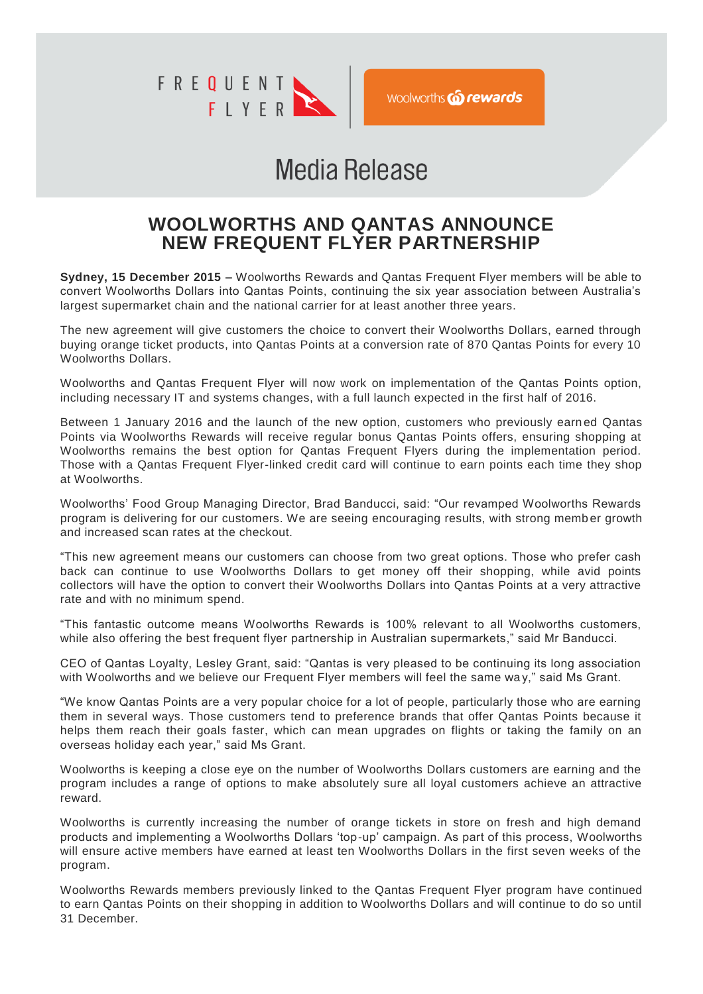

# **Media Release**

## **WOOLWORTHS AND QANTAS ANNOUNCE NEW FREQUENT FLYER PARTNERSHIP**

**Sydney, 15 December 2015 –** Woolworths Rewards and Qantas Frequent Flyer members will be able to convert Woolworths Dollars into Qantas Points, continuing the six year association between Australia's largest supermarket chain and the national carrier for at least another three years.

The new agreement will give customers the choice to convert their Woolworths Dollars, earned through buying orange ticket products, into Qantas Points at a conversion rate of 870 Qantas Points for every 10 Woolworths Dollars.

Woolworths and Qantas Frequent Flyer will now work on implementation of the Qantas Points option, including necessary IT and systems changes, with a full launch expected in the first half of 2016.

Between 1 January 2016 and the launch of the new option, customers who previously earn ed Qantas Points via Woolworths Rewards will receive regular bonus Qantas Points offers, ensuring shopping at Woolworths remains the best option for Qantas Frequent Flyers during the implementation period. Those with a Qantas Frequent Flyer-linked credit card will continue to earn points each time they shop at Woolworths.

Woolworths' Food Group Managing Director, Brad Banducci, said: "Our revamped Woolworths Rewards program is delivering for our customers. We are seeing encouraging results, with strong memb er growth and increased scan rates at the checkout.

"This new agreement means our customers can choose from two great options. Those who prefer cash back can continue to use Woolworths Dollars to get money off their shopping, while avid points collectors will have the option to convert their Woolworths Dollars into Qantas Points at a very attractive rate and with no minimum spend.

"This fantastic outcome means Woolworths Rewards is 100% relevant to all Woolworths customers, while also offering the best frequent flyer partnership in Australian supermarkets," said Mr Banducci.

CEO of Qantas Loyalty, Lesley Grant, said: "Qantas is very pleased to be continuing its long association with Woolworths and we believe our Frequent Flyer members will feel the same way," said Ms Grant.

"We know Qantas Points are a very popular choice for a lot of people, particularly those who are earning them in several ways. Those customers tend to preference brands that offer Qantas Points because it helps them reach their goals faster, which can mean upgrades on flights or taking the family on an overseas holiday each year," said Ms Grant.

Woolworths is keeping a close eye on the number of Woolworths Dollars customers are earning and the program includes a range of options to make absolutely sure all loyal customers achieve an attractive reward.

Woolworths is currently increasing the number of orange tickets in store on fresh and high demand products and implementing a Woolworths Dollars 'top-up' campaign. As part of this process, Woolworths will ensure active members have earned at least ten Woolworths Dollars in the first seven weeks of the program.

Woolworths Rewards members previously linked to the Qantas Frequent Flyer program have continued to earn Qantas Points on their shopping in addition to Woolworths Dollars and will continue to do so until 31 December.